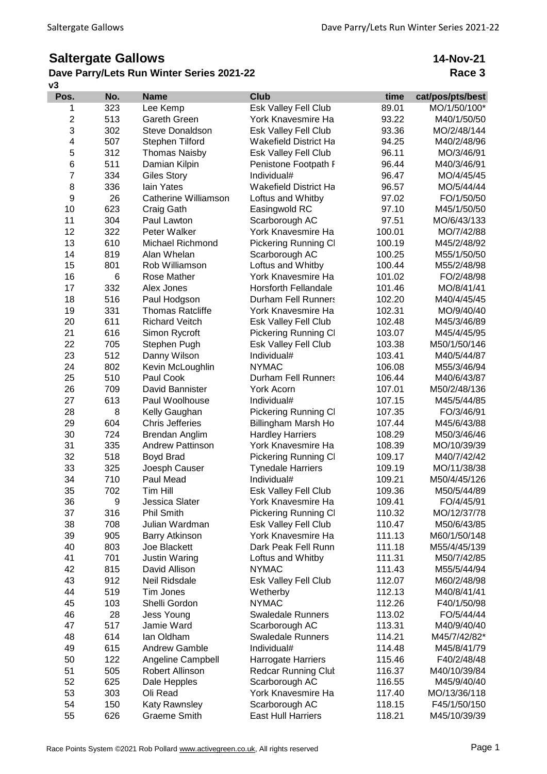## **Saltergate Gallows**

## **v3 Dave Parry/Lets Run Winter Series 2021-22**

**14-Nov-21 Race 3**

| Pos.           | No. | <b>Name</b>             | <b>Club</b>                  | time   | cat/pos/pts/best |
|----------------|-----|-------------------------|------------------------------|--------|------------------|
| 1              | 323 | Lee Kemp                | Esk Valley Fell Club         | 89.01  | MO/1/50/100*     |
| $\overline{2}$ | 513 | Gareth Green            | York Knavesmire Ha           | 93.22  | M40/1/50/50      |
| 3              | 302 | <b>Steve Donaldson</b>  | <b>Esk Valley Fell Club</b>  | 93.36  | MO/2/48/144      |
| 4              | 507 | Stephen Tilford         | <b>Wakefield District Ha</b> | 94.25  | M40/2/48/96      |
| 5              | 312 | <b>Thomas Naisby</b>    | Esk Valley Fell Club         | 96.11  | MO/3/46/91       |
| 6              | 511 | Damian Kilpin           | Penistone Footpath F         | 96.44  | M40/3/46/91      |
| $\overline{7}$ | 334 | <b>Giles Story</b>      | Individual#                  | 96.47  | MO/4/45/45       |
| 8              | 336 | lain Yates              | <b>Wakefield District Ha</b> | 96.57  | MO/5/44/44       |
| 9              | 26  | Catherine Williamson    | Loftus and Whitby            | 97.02  | FO/1/50/50       |
| 10             | 623 | Craig Gath              | Easingwold RC                | 97.10  | M45/1/50/50      |
| 11             | 304 | Paul Lawton             | Scarborough AC               | 97.51  | MO/6/43/133      |
| 12             | 322 | Peter Walker            | York Knavesmire Ha           | 100.01 | MO/7/42/88       |
| 13             | 610 | Michael Richmond        | <b>Pickering Running CI</b>  | 100.19 | M45/2/48/92      |
| 14             | 819 | Alan Whelan             | Scarborough AC               | 100.25 | M55/1/50/50      |
| 15             | 801 | Rob Williamson          | Loftus and Whitby            | 100.44 | M55/2/48/98      |
| 16             | 6   | Rose Mather             | York Knavesmire Ha           | 101.02 | FO/2/48/98       |
| 17             | 332 | Alex Jones              | <b>Horsforth Fellandale</b>  | 101.46 | MO/8/41/41       |
| 18             | 516 | Paul Hodgson            | <b>Durham Fell Runners</b>   | 102.20 | M40/4/45/45      |
| 19             | 331 | <b>Thomas Ratcliffe</b> | York Knavesmire Ha           | 102.31 | MO/9/40/40       |
| 20             | 611 | <b>Richard Veitch</b>   | Esk Valley Fell Club         | 102.48 | M45/3/46/89      |
| 21             | 616 | Simon Rycroft           | <b>Pickering Running CI</b>  | 103.07 | M45/4/45/95      |
| 22             | 705 | Stephen Pugh            | Esk Valley Fell Club         | 103.38 | M50/1/50/146     |
| 23             | 512 | Danny Wilson            | Individual#                  | 103.41 | M40/5/44/87      |
| 24             | 802 | Kevin McLoughlin        | <b>NYMAC</b>                 | 106.08 | M55/3/46/94      |
| 25             | 510 | Paul Cook               | <b>Durham Fell Runners</b>   | 106.44 | M40/6/43/87      |
| 26             | 709 | David Bannister         | York Acorn                   | 107.01 | M50/2/48/136     |
| 27             | 613 | Paul Woolhouse          | Individual#                  | 107.15 | M45/5/44/85      |
| 28             | 8   | Kelly Gaughan           | <b>Pickering Running CI</b>  | 107.35 | FO/3/46/91       |
| 29             | 604 | <b>Chris Jefferies</b>  | Billingham Marsh Ho          | 107.44 | M45/6/43/88      |
| 30             | 724 | Brendan Anglim          | <b>Hardley Harriers</b>      | 108.29 | M50/3/46/46      |
| 31             | 335 | <b>Andrew Pattinson</b> | York Knavesmire Ha           | 108.39 | MO/10/39/39      |
| 32             | 518 | <b>Boyd Brad</b>        | <b>Pickering Running CI</b>  | 109.17 | M40/7/42/42      |
| 33             | 325 | Joesph Causer           | <b>Tynedale Harriers</b>     | 109.19 | MO/11/38/38      |
| 34             | 710 | Paul Mead               | Individual#                  | 109.21 | M50/4/45/126     |
| 35             | 702 | Tim Hill                | <b>Esk Valley Fell Club</b>  | 109.36 | M50/5/44/89      |
| 36             | 9   | Jessica Slater          | York Knavesmire Ha           | 109.41 | FO/4/45/91       |
| 37             | 316 | <b>Phil Smith</b>       | <b>Pickering Running CI</b>  | 110.32 | MO/12/37/78      |
| 38             | 708 | Julian Wardman          | Esk Valley Fell Club         | 110.47 | M50/6/43/85      |
| 39             | 905 | <b>Barry Atkinson</b>   | York Knavesmire Ha           | 111.13 | M60/1/50/148     |
| 40             | 803 | Joe Blackett            | Dark Peak Fell Runn          | 111.18 | M55/4/45/139     |
| 41             | 701 | <b>Justin Waring</b>    | Loftus and Whitby            | 111.31 | M50/7/42/85      |
| 42             | 815 | David Allison           | <b>NYMAC</b>                 | 111.43 | M55/5/44/94      |
| 43             | 912 | Neil Ridsdale           | Esk Valley Fell Club         | 112.07 | M60/2/48/98      |
| 44             | 519 | Tim Jones               | Wetherby                     | 112.13 | M40/8/41/41      |
| 45             | 103 | Shelli Gordon           | <b>NYMAC</b>                 | 112.26 | F40/1/50/98      |
| 46             | 28  | Jess Young              | <b>Swaledale Runners</b>     | 113.02 | FO/5/44/44       |
| 47             | 517 | Jamie Ward              | Scarborough AC               | 113.31 | M40/9/40/40      |
| 48             | 614 | lan Oldham              | <b>Swaledale Runners</b>     | 114.21 | M45/7/42/82*     |
| 49             | 615 | <b>Andrew Gamble</b>    | Individual#                  | 114.48 | M45/8/41/79      |
| 50             | 122 | Angeline Campbell       | Harrogate Harriers           | 115.46 | F40/2/48/48      |
| 51             | 505 | Robert Allinson         | <b>Redcar Running Clut</b>   | 116.37 | M40/10/39/84     |
| 52             | 625 | Dale Hepples            | Scarborough AC               | 116.55 | M45/9/40/40      |
| 53             | 303 | Oli Read                | York Knavesmire Ha           | 117.40 | MO/13/36/118     |
| 54             | 150 | Katy Rawnsley           | Scarborough AC               | 118.15 | F45/1/50/150     |
| 55             | 626 | <b>Graeme Smith</b>     | <b>East Hull Harriers</b>    | 118.21 | M45/10/39/39     |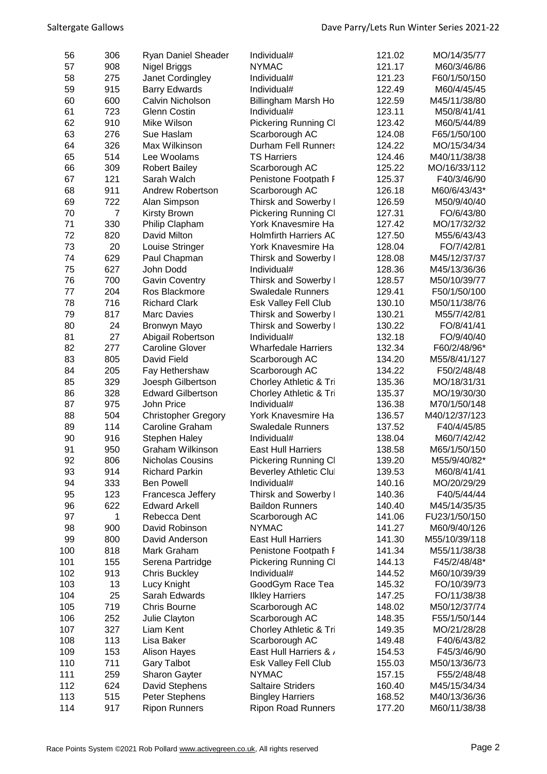| 56  | 306            | Ryan Daniel Sheader        | Individual#                   | 121.02 | MO/14/35/77   |
|-----|----------------|----------------------------|-------------------------------|--------|---------------|
| 57  | 908            | Nigel Briggs               | <b>NYMAC</b>                  | 121.17 | M60/3/46/86   |
| 58  | 275            | Janet Cordingley           | Individual#                   | 121.23 | F60/1/50/150  |
| 59  | 915            | <b>Barry Edwards</b>       | Individual#                   | 122.49 | M60/4/45/45   |
| 60  | 600            | Calvin Nicholson           | Billingham Marsh Ho           | 122.59 | M45/11/38/80  |
| 61  | 723            | Glenn Costin               | Individual#                   | 123.11 | M50/8/41/41   |
| 62  | 910            | Mike Wilson                | <b>Pickering Running CI</b>   | 123.42 | M60/5/44/89   |
| 63  | 276            |                            |                               |        |               |
|     |                | Sue Haslam                 | Scarborough AC                | 124.08 | F65/1/50/100  |
| 64  | 326            | Max Wilkinson              | <b>Durham Fell Runners</b>    | 124.22 | MO/15/34/34   |
| 65  | 514            | Lee Woolams                | <b>TS Harriers</b>            | 124.46 | M40/11/38/38  |
| 66  | 309            | <b>Robert Bailey</b>       | Scarborough AC                | 125.22 | MO/16/33/112  |
| 67  | 121            | Sarah Walch                | Penistone Footpath F          | 125.37 | F40/3/46/90   |
| 68  | 911            | <b>Andrew Robertson</b>    | Scarborough AC                | 126.18 | M60/6/43/43*  |
| 69  | 722            | Alan Simpson               | Thirsk and Sowerby I          | 126.59 | M50/9/40/40   |
| 70  | $\overline{7}$ | Kirsty Brown               | <b>Pickering Running CI</b>   | 127.31 | FO/6/43/80    |
| 71  | 330            | Philip Clapham             | York Knavesmire Ha            | 127.42 | MO/17/32/32   |
| 72  | 820            | David Milton               | <b>Holmfirth Harriers AC</b>  | 127.50 | M55/6/43/43   |
| 73  | 20             | Louise Stringer            | York Knavesmire Ha            | 128.04 | FO/7/42/81    |
| 74  | 629            | Paul Chapman               | Thirsk and Sowerby I          | 128.08 | M45/12/37/37  |
| 75  | 627            | John Dodd                  | Individual#                   | 128.36 | M45/13/36/36  |
| 76  | 700            | <b>Gavin Coventry</b>      | Thirsk and Sowerby I          | 128.57 | M50/10/39/77  |
| 77  | 204            | Ros Blackmore              | <b>Swaledale Runners</b>      | 129.41 | F50/1/50/100  |
| 78  | 716            | <b>Richard Clark</b>       | Esk Valley Fell Club          | 130.10 | M50/11/38/76  |
| 79  | 817            | <b>Marc Davies</b>         | Thirsk and Sowerby I          | 130.21 | M55/7/42/81   |
| 80  | 24             | Bronwyn Mayo               | Thirsk and Sowerby I          | 130.22 | FO/8/41/41    |
| 81  | 27             | Abigail Robertson          | Individual#                   | 132.18 | FO/9/40/40    |
| 82  | 277            | <b>Caroline Glover</b>     | <b>Wharfedale Harriers</b>    | 132.34 | F60/2/48/96*  |
| 83  | 805            | David Field                | Scarborough AC                | 134.20 | M55/8/41/127  |
| 84  | 205            | Fay Hethershaw             | Scarborough AC                | 134.22 | F50/2/48/48   |
| 85  | 329            |                            | Chorley Athletic & Tri        | 135.36 | MO/18/31/31   |
|     | 328            | Joesph Gilbertson          |                               |        |               |
| 86  |                | <b>Edward Gilbertson</b>   | Chorley Athletic & Tri        | 135.37 | MO/19/30/30   |
| 87  | 975            | John Price                 | Individual#                   | 136.38 | M70/1/50/148  |
| 88  | 504            | <b>Christopher Gregory</b> | York Knavesmire Ha            | 136.57 | M40/12/37/123 |
| 89  | 114            | Caroline Graham            | <b>Swaledale Runners</b>      | 137.52 | F40/4/45/85   |
| 90  | 916            | <b>Stephen Haley</b>       | Individual#                   | 138.04 | M60/7/42/42   |
| 91  | 950            | Graham Wilkinson           | <b>East Hull Harriers</b>     | 138.58 | M65/1/50/150  |
| 92  | 806            | Nicholas Cousins           | Pickering Running Cl          | 139.20 | M55/9/40/82*  |
| 93  | 914            | <b>Richard Parkin</b>      | <b>Beverley Athletic Clul</b> | 139.53 | M60/8/41/41   |
| 94  | 333            | <b>Ben Powell</b>          | Individual#                   | 140.16 | MO/20/29/29   |
| 95  | 123            | Francesca Jeffery          | Thirsk and Sowerby I          | 140.36 | F40/5/44/44   |
| 96  | 622            | <b>Edward Arkell</b>       | <b>Baildon Runners</b>        | 140.40 | M45/14/35/35  |
| 97  | 1              | Rebecca Dent               | Scarborough AC                | 141.06 | FU23/1/50/150 |
| 98  | 900            | David Robinson             | <b>NYMAC</b>                  | 141.27 | M60/9/40/126  |
| 99  | 800            | David Anderson             | <b>East Hull Harriers</b>     | 141.30 | M55/10/39/118 |
| 100 | 818            | Mark Graham                | Penistone Footpath F          | 141.34 | M55/11/38/38  |
| 101 | 155            | Serena Partridge           | <b>Pickering Running CI</b>   | 144.13 | F45/2/48/48*  |
| 102 | 913            | <b>Chris Buckley</b>       | Individual#                   | 144.52 | M60/10/39/39  |
| 103 | 13             | Lucy Knight                | GoodGym Race Tea              | 145.32 | FO/10/39/73   |
| 104 | 25             | Sarah Edwards              | <b>Ilkley Harriers</b>        | 147.25 | FO/11/38/38   |
| 105 | 719            | <b>Chris Bourne</b>        | Scarborough AC                | 148.02 | M50/12/37/74  |
| 106 | 252            | Julie Clayton              | Scarborough AC                | 148.35 | F55/1/50/144  |
| 107 | 327            | Liam Kent                  | Chorley Athletic & Tri        | 149.35 | MO/21/28/28   |
| 108 | 113            | Lisa Baker                 | Scarborough AC                | 149.48 | F40/6/43/82   |
| 109 | 153            | <b>Alison Hayes</b>        | East Hull Harriers & /        | 154.53 | F45/3/46/90   |
|     | 711            |                            |                               |        |               |
| 110 |                | <b>Gary Talbot</b>         | <b>Esk Valley Fell Club</b>   | 155.03 | M50/13/36/73  |
| 111 | 259            | <b>Sharon Gayter</b>       | <b>NYMAC</b>                  | 157.15 | F55/2/48/48   |
| 112 | 624            | David Stephens             | <b>Saltaire Striders</b>      | 160.40 | M45/15/34/34  |
| 113 | 515            | Peter Stephens             | <b>Bingley Harriers</b>       | 168.52 | M40/13/36/36  |
| 114 | 917            | <b>Ripon Runners</b>       | <b>Ripon Road Runners</b>     | 177.20 | M60/11/38/38  |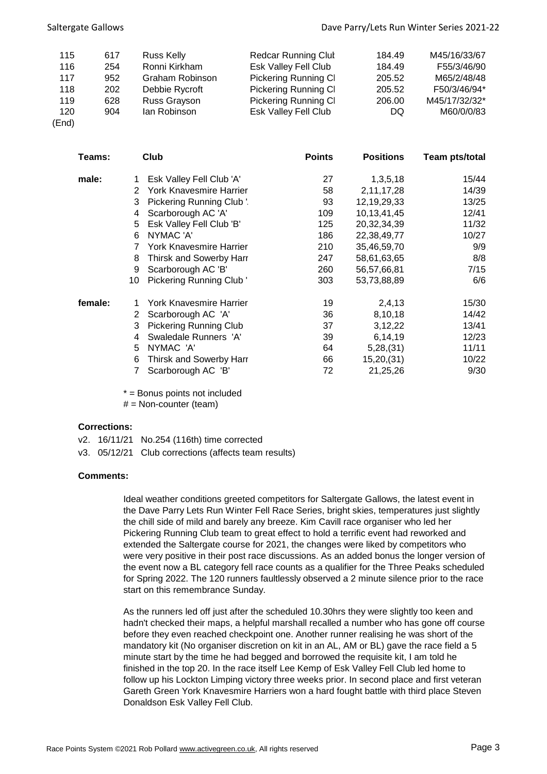| 115   | 617 | Russ Kelly      | <b>Redcar Running Clut</b>  | 184.49 | M45/16/33/67  |
|-------|-----|-----------------|-----------------------------|--------|---------------|
| 116   | 254 | Ronni Kirkham   | <b>Esk Valley Fell Club</b> | 184.49 | F55/3/46/90   |
| 117   | 952 | Graham Robinson | <b>Pickering Running CI</b> | 205.52 | M65/2/48/48   |
| 118   | 202 | Debbie Rycroft  | <b>Pickering Running CI</b> | 205.52 | F50/3/46/94*  |
| 119   | 628 | Russ Grayson    | <b>Pickering Running CI</b> | 206.00 | M45/17/32/32* |
| 120   | 904 | lan Robinson    | <b>Esk Valley Fell Club</b> | DQ     | M60/0/0/83    |
| (End) |     |                 |                             |        |               |

| Teams:  |    | Club                           | <b>Points</b> | <b>Positions</b> | Team pts/total |
|---------|----|--------------------------------|---------------|------------------|----------------|
| male:   | 1  | Esk Valley Fell Club 'A'       | 27            | 1,3,5,18         | 15/44          |
|         | 2  | <b>York Knavesmire Harrier</b> | 58            | 2,11,17,28       | 14/39          |
|         | 3  | Pickering Running Club '.      | 93            | 12,19,29,33      | 13/25          |
|         | 4  | Scarborough AC 'A'             | 109           | 10,13,41,45      | 12/41          |
|         | 5  | Esk Valley Fell Club 'B'       | 125           | 20,32,34,39      | 11/32          |
|         | 6  | NYMAC 'A'                      | 186           | 22,38,49,77      | 10/27          |
|         |    | York Knavesmire Harrier        | 210           | 35,46,59,70      | 9/9            |
|         | 8  | Thirsk and Sowerby Harr        | 247           | 58,61,63,65      | 8/8            |
|         | 9  | Scarborough AC 'B'             | 260           | 56,57,66,81      | 7/15           |
|         | 10 | Pickering Running Club'        | 303           | 53,73,88,89      | 6/6            |
| female: |    | York Knavesmire Harrier        | 19            | 2,4,13           | 15/30          |
|         | 2  | Scarborough AC 'A'             | 36            | 8,10,18          | 14/42          |
|         | 3  | <b>Pickering Running Club</b>  | 37            | 3,12,22          | 13/41          |
|         | 4  | Swaledale Runners 'A'          | 39            | 6,14,19          | 12/23          |
|         | 5  | NYMAC 'A'                      | 64            | 5,28,(31)        | 11/11          |
|         | 6  | Thirsk and Sowerby Harr        | 66            | 15,20,(31)       | 10/22          |
|         | 7  | Scarborough AC 'B'             | 72            | 21,25,26         | 9/30           |

\* = Bonus points not included

 $#$  = Non-counter (team)

## **Corrections:**

- v2. 16/11/21 No.254 (116th) time corrected
- v3. 05/12/21 Club corrections (affects team results)

## **Comments:**

Ideal weather conditions greeted competitors for Saltergate Gallows, the latest event in the Dave Parry Lets Run Winter Fell Race Series, bright skies, temperatures just slightly the chill side of mild and barely any breeze. Kim Cavill race organiser who led her Pickering Running Club team to great effect to hold a terrific event had reworked and extended the Saltergate course for 2021, the changes were liked by competitors who were very positive in their post race discussions. As an added bonus the longer version of the event now a BL category fell race counts as a qualifier for the Three Peaks scheduled for Spring 2022. The 120 runners faultlessly observed a 2 minute silence prior to the race start on this remembrance Sunday.

As the runners led off just after the scheduled 10.30hrs they were slightly too keen and hadn't checked their maps, a helpful marshall recalled a number who has gone off course before they even reached checkpoint one. Another runner realising he was short of the mandatory kit (No organiser discretion on kit in an AL, AM or BL) gave the race field a 5 minute start by the time he had begged and borrowed the requisite kit, I am told he finished in the top 20. In the race itself Lee Kemp of Esk Valley Fell Club led home to follow up his Lockton Limping victory three weeks prior. In second place and first veteran Gareth Green York Knavesmire Harriers won a hard fought battle with third place Steven Donaldson Esk Valley Fell Club.